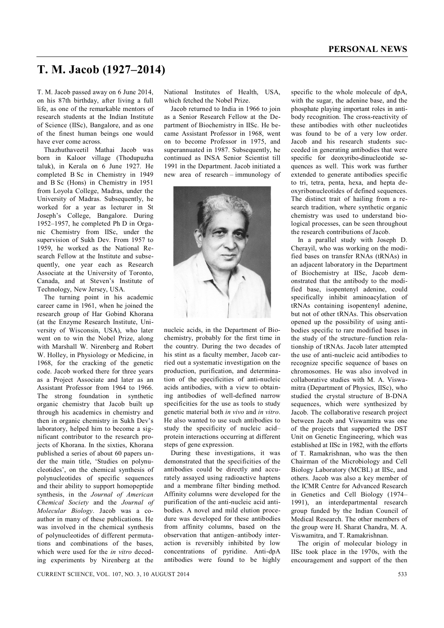## **T. M. Jacob (1927–2014)**

T. M. Jacob passed away on 6 June 2014, on his 87th birthday, after living a full life, as one of the remarkable mentors of research students at the Indian Institute of Science (IISc), Bangalore, and as one of the finest human beings one would have ever come across.

Thazhuthaveetil Mathai Jacob was born in Kaloor village (Thodupuzha taluk), in Kerala on 6 June 1927. He completed B Sc in Chemistry in 1949 and B Sc (Hons) in Chemistry in 1951 from Loyola College, Madras, under the University of Madras. Subsequently, he worked for a year as lecturer in St Joseph's College, Bangalore. During 1952–1957, he completed Ph D in Organic Chemistry from IISc, under the supervision of Sukh Dev. From 1957 to 1959, he worked as the National Research Fellow at the Institute and subsequently, one year each as Research Associate at the University of Toronto, Canada, and at Steven's Institute of Technology, New Jersey, USA.

The turning point in his academic career came in 1961, when he joined the research group of Har Gobind Khorana (at the Enzyme Research Institute, University of Wisconsin, USA), who later went on to win the Nobel Prize, along with Marshall W. Nirenberg and Robert W. Holley, in Physiology or Medicine, in 1968, for the cracking of the genetic code. Jacob worked there for three years as a Project Associate and later as an Assistant Professor from 1964 to 1966. The strong foundation in synthetic organic chemistry that Jacob built up through his academics in chemistry and then in organic chemistry in Sukh Dev's laboratory, helped him to become a significant contributor to the research projects of Khorana. In the sixties, Khorana published a series of about 60 papers under the main title, 'Studies on polynucleotides', on the chemical synthesis of polynucleotides of specific sequences and their ability to support homopeptide synthesis, in the *Journal of American Chemical Society* and the *Journal of Molecular Biology*. Jacob was a coauthor in many of these publications. He was involved in the chemical synthesis of polynucleotides of different permutations and combinations of the bases, which were used for the *in vitro* decoding experiments by Nirenberg at the National Institutes of Health, USA, which fetched the Nobel Prize.

Jacob returned to India in 1966 to join as a Senior Research Fellow at the Department of Biochemistry in IISc. He became Assistant Professor in 1968, went on to become Professor in 1975, and superannuated in 1987. Subsequently, he continued as INSA Senior Scientist till 1991 in the Department. Jacob initiated a new area of research – immunology of



nucleic acids, in the Department of Biochemistry, probably for the first time in the country. During the two decades of his stint as a faculty member, Jacob carried out a systematic investigation on the production, purification, and determination of the specificities of anti-nucleic acids antibodies, with a view to obtaining antibodies of well-defined narrow specificities for the use as tools to study genetic material both *in vivo* and *in vitro*. He also wanted to use such antibodies to study the specificity of nucleic acid– protein interactions occurring at different steps of gene expression.

During these investigations, it was demonstrated that the specificities of the antibodies could be directly and accurately assayed using radioactive haptens and a membrane filter binding method. Affinity columns were developed for the purification of the anti-nucleic acid antibodies. A novel and mild elution procedure was developed for these antibodies from affinity columns, based on the observation that antigen–antibody interaction is reversibly inhibited by low concentrations of pyridine. Anti-dpA antibodies were found to be highly specific to the whole molecule of dpA, with the sugar, the adenine base, and the phosphate playing important roles in antibody recognition. The cross-reactivity of these antibodies with other nucleotides was found to be of a very low order. Jacob and his research students succeeded in generating antibodies that were specific for deoxyribo-dinucleotide sequences as well. This work was further extended to generate antibodies specific to tri, tetra, penta, hexa, and hepta deoxyribonucleotides of defined sequences. The distinct trait of hailing from a research tradition, where synthetic organic chemistry was used to understand biological processes, can be seen throughout the research contributions of Jacob.

In a parallel study with Joseph D. Cherayil, who was working on the modified bases on transfer RNAs (tRNAs) in an adjacent laboratory in the Department of Biochemistry at IISc, Jacob demonstrated that the antibody to the modified base, isopentenyl adenine, could specifically inhibit aminoacylation of tRNAs containing isopentenyl adenine, but not of other tRNAs. This observation opened up the possibility of using antibodies specific to rare modified bases in the study of the structure–function relationship of tRNAs. Jacob later attempted the use of anti-nucleic acid antibodies to recognize specific sequence of bases on chromosomes. He was also involved in collaborative studies with M. A. Viswamitra (Department of Physics, IISc), who studied the crystal structure of B-DNA sequences, which were synthesized by Jacob. The collaborative research project between Jacob and Viswamitra was one of the projects that supported the DST Unit on Genetic Engineering, which was established at IISc in 1982, with the efforts of T. Ramakrishnan, who was the then Chairman of the Microbiology and Cell Biology Laboratory (MCBL) at IISc, and others. Jacob was also a key member of the ICMR Centre for Advanced Research in Genetics and Cell Biology (1974– 1991), an interdepartmental research group funded by the Indian Council of Medical Research. The other members of the group were H. Sharat Chandra, M. A. Viswamitra, and T. Ramakrishnan.

The origin of molecular biology in IISc took place in the 1970s, with the encouragement and support of the then